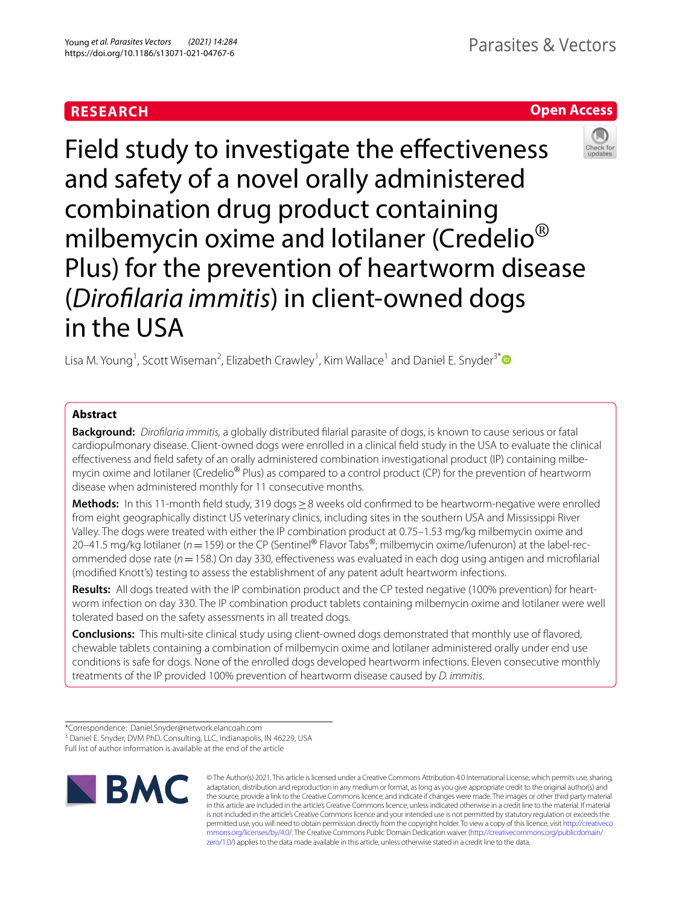# **RESEARCH**

**Open Access**

# Field study to investigate the effectiveness and safety of a novel orally administered combination drug product containing milbemycin oxime and lotilaner (Credelio<sup>®</sup> Plus) for the prevention of heartworm disease (*Diroflaria immitis*) in client-owned dogs in the USA

Lisa M. Young<sup>1</sup>, Scott Wiseman<sup>2</sup>, Elizabeth Crawley<sup>1</sup>, Kim Wallace<sup>1</sup> and Daniel E. Snyder<sup>3[\\*](http://orcid.org/0000-0002-4091-6297)</sup>

# **Abstract**

**Background:** *Diroflaria immitis,* a globally distributed flarial parasite of dogs, is known to cause serious or fatal cardiopulmonary disease. Client-owned dogs were enrolled in a clinical feld study in the USA to evaluate the clinical efectiveness and feld safety of an orally administered combination investigational product (IP) containing milbemycin oxime and lotilaner (Credelio<sup>®</sup> Plus) as compared to a control product (CP) for the prevention of heartworm disease when administered monthly for 11 consecutive months.

**Methods:** In this 11-month field study, 319 dogs ≥8 weeks old confirmed to be heartworm-negative were enrolled from eight geographically distinct US veterinary clinics, including sites in the southern USA and Mississippi River Valley. The dogs were treated with either the IP combination product at 0.75–1.53 mg/kg milbemycin oxime and 20–41.5 mg/kg lotilaner (*n*=159) or the CP (Sentinel® Flavor Tabs®; milbemycin oxime/lufenuron) at the label-recommended dose rate (*n*=158.) On day 330, efectiveness was evaluated in each dog using antigen and microflarial (modifed Knott's) testing to assess the establishment of any patent adult heartworm infections.

**Results:** All dogs treated with the IP combination product and the CP tested negative (100% prevention) for heartworm infection on day 330. The IP combination product tablets containing milbemycin oxime and lotilaner were well tolerated based on the safety assessments in all treated dogs.

**Conclusions:** This multi-site clinical study using client-owned dogs demonstrated that monthly use of favored, chewable tablets containing a combination of milbemycin oxime and lotilaner administered orally under end use conditions is safe for dogs. None of the enrolled dogs developed heartworm infections. Eleven consecutive monthly treatments of the IP provided 100% prevention of heartworm disease caused by *D. immitis*.

[zero/1.0/\)](http://creativecommons.org/publicdomain/zero/1.0/) applies to the data made available in this article, unless otherwise stated in a credit line to the data.

Full list of author information is available at the end of the article







<sup>\*</sup>Correspondence: Daniel.Snyder@network.elancoah.com

<sup>&</sup>lt;sup>3</sup> Daniel E. Snyder, DVM PhD. Consulting, LLC, Indianapolis, IN 46229, USA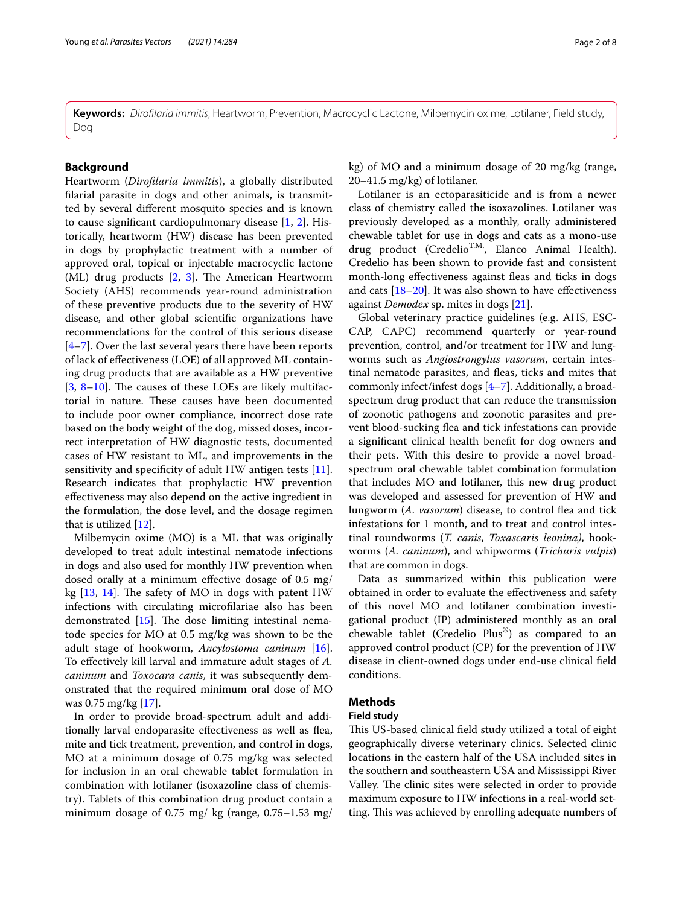**Keywords:** *Diroflaria immitis*, Heartworm, Prevention, Macrocyclic Lactone, Milbemycin oxime, Lotilaner, Field study, Dog

# **Background**

Heartworm (*Diroflaria immitis*), a globally distributed flarial parasite in dogs and other animals, is transmitted by several diferent mosquito species and is known to cause signifcant cardiopulmonary disease [[1,](#page-6-0) [2](#page-6-1)]. Historically, heartworm (HW) disease has been prevented in dogs by prophylactic treatment with a number of approved oral, topical or injectable macrocyclic lactone (ML) drug products  $[2, 3]$  $[2, 3]$  $[2, 3]$  $[2, 3]$  $[2, 3]$ . The American Heartworm Society (AHS) recommends year-round administration of these preventive products due to the severity of HW disease, and other global scientifc organizations have recommendations for the control of this serious disease  $[4–7]$  $[4–7]$  $[4–7]$ . Over the last several years there have been reports of lack of efectiveness (LOE) of all approved ML containing drug products that are available as a HW preventive  $[3, 8-10]$  $[3, 8-10]$  $[3, 8-10]$  $[3, 8-10]$  $[3, 8-10]$ . The causes of these LOEs are likely multifactorial in nature. These causes have been documented to include poor owner compliance, incorrect dose rate based on the body weight of the dog, missed doses, incorrect interpretation of HW diagnostic tests, documented cases of HW resistant to ML, and improvements in the sensitivity and specificity of adult HW antigen tests [\[11](#page-7-4)]. Research indicates that prophylactic HW prevention efectiveness may also depend on the active ingredient in the formulation, the dose level, and the dosage regimen that is utilized [\[12](#page-7-5)].

Milbemycin oxime (MO) is a ML that was originally developed to treat adult intestinal nematode infections in dogs and also used for monthly HW prevention when dosed orally at a minimum effective dosage of 0.5 mg/ kg  $[13, 14]$  $[13, 14]$  $[13, 14]$ . The safety of MO in dogs with patent HW infections with circulating microflariae also has been demonstrated  $[15]$  $[15]$ . The dose limiting intestinal nematode species for MO at 0.5 mg/kg was shown to be the adult stage of hookworm, *Ancylostoma caninum* [\[16](#page-7-9)]. To efectively kill larval and immature adult stages of *A. caninum* and *Toxocara canis*, it was subsequently demonstrated that the required minimum oral dose of MO was 0.75 mg/kg [\[17](#page-7-10)].

In order to provide broad-spectrum adult and additionally larval endoparasite efectiveness as well as fea, mite and tick treatment, prevention, and control in dogs, MO at a minimum dosage of 0.75 mg/kg was selected for inclusion in an oral chewable tablet formulation in combination with lotilaner (isoxazoline class of chemistry). Tablets of this combination drug product contain a minimum dosage of  $0.75$  mg/kg (range,  $0.75-1.53$  mg/

kg) of MO and a minimum dosage of 20 mg/kg (range, 20–41.5 mg/kg) of lotilaner.

Lotilaner is an ectoparasiticide and is from a newer class of chemistry called the isoxazolines. Lotilaner was previously developed as a monthly, orally administered chewable tablet for use in dogs and cats as a mono-use drug product (Credelio<sup>T.M.</sup>, Elanco Animal Health). Credelio has been shown to provide fast and consistent month-long effectiveness against fleas and ticks in dogs and cats  $[18–20]$  $[18–20]$  $[18–20]$  $[18–20]$ . It was also shown to have effectiveness against *Demodex* sp. mites in dogs [[21\]](#page-7-13).

Global veterinary practice guidelines (e.g. AHS, ESC-CAP, CAPC) recommend quarterly or year-round prevention, control, and/or treatment for HW and lungworms such as *Angiostrongylus vasorum*, certain intestinal nematode parasites, and fleas, ticks and mites that commonly infect/infest dogs [[4–](#page-7-0)[7](#page-7-1)]. Additionally, a broadspectrum drug product that can reduce the transmission of zoonotic pathogens and zoonotic parasites and prevent blood-sucking fea and tick infestations can provide a signifcant clinical health beneft for dog owners and their pets. With this desire to provide a novel broadspectrum oral chewable tablet combination formulation that includes MO and lotilaner, this new drug product was developed and assessed for prevention of HW and lungworm (A. vasorum) disease, to control flea and tick infestations for 1 month, and to treat and control intestinal roundworms (*T. canis*, *Toxascaris leonina)*, hookworms (*A. caninum*), and whipworms (*Trichuris vulpis*) that are common in dogs.

Data as summarized within this publication were obtained in order to evaluate the efectiveness and safety of this novel MO and lotilaner combination investigational product (IP) administered monthly as an oral chewable tablet (Credelio Plus®) as compared to an approved control product (CP) for the prevention of HW disease in client-owned dogs under end-use clinical feld conditions.

# **Methods**

## **Field study**

This US-based clinical field study utilized a total of eight geographically diverse veterinary clinics. Selected clinic locations in the eastern half of the USA included sites in the southern and southeastern USA and Mississippi River Valley. The clinic sites were selected in order to provide maximum exposure to HW infections in a real-world setting. This was achieved by enrolling adequate numbers of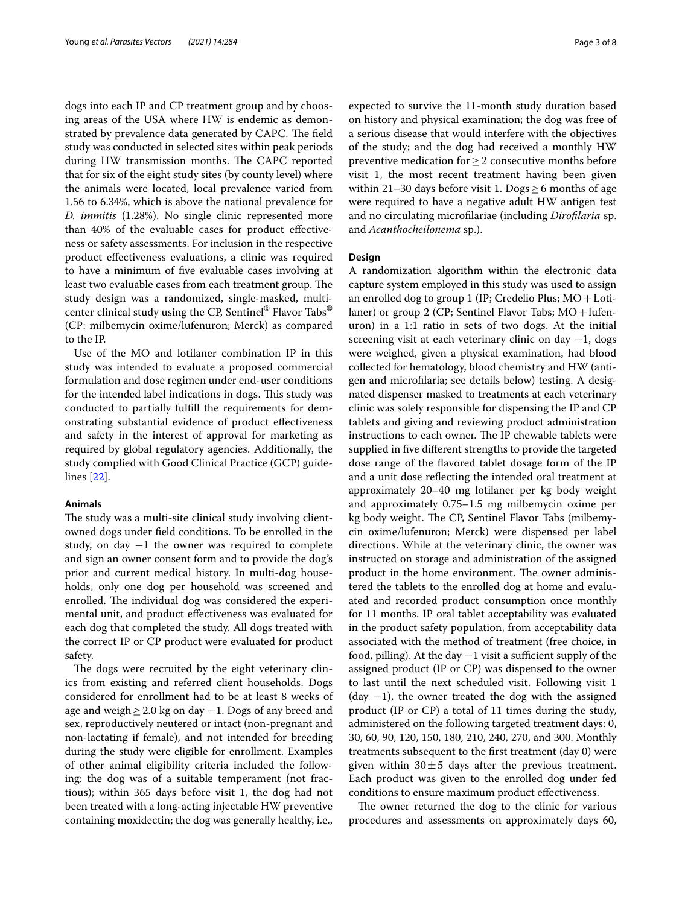dogs into each IP and CP treatment group and by choosing areas of the USA where HW is endemic as demonstrated by prevalence data generated by CAPC. The field study was conducted in selected sites within peak periods during HW transmission months. The CAPC reported that for six of the eight study sites (by county level) where the animals were located, local prevalence varied from 1.56 to 6.34%, which is above the national prevalence for *D. immitis* (1.28%). No single clinic represented more than 40% of the evaluable cases for product effectiveness or safety assessments. For inclusion in the respective product efectiveness evaluations, a clinic was required to have a minimum of fve evaluable cases involving at least two evaluable cases from each treatment group. The study design was a randomized, single-masked, multicenter clinical study using the CP, Sentinel® Flavor Tabs® (CP: milbemycin oxime/lufenuron; Merck) as compared to the IP.

Use of the MO and lotilaner combination IP in this study was intended to evaluate a proposed commercial formulation and dose regimen under end-user conditions for the intended label indications in dogs. This study was conducted to partially fulfll the requirements for demonstrating substantial evidence of product efectiveness and safety in the interest of approval for marketing as required by global regulatory agencies. Additionally, the study complied with Good Clinical Practice (GCP) guidelines [\[22\]](#page-7-14).

#### **Animals**

The study was a multi-site clinical study involving clientowned dogs under feld conditions. To be enrolled in the study, on day  $-1$  the owner was required to complete and sign an owner consent form and to provide the dog's prior and current medical history. In multi-dog households, only one dog per household was screened and enrolled. The individual dog was considered the experimental unit, and product efectiveness was evaluated for each dog that completed the study. All dogs treated with the correct IP or CP product were evaluated for product safety.

The dogs were recruited by the eight veterinary clinics from existing and referred client households. Dogs considered for enrollment had to be at least 8 weeks of age and weigh≥2.0 kg on day −1. Dogs of any breed and sex, reproductively neutered or intact (non-pregnant and non-lactating if female), and not intended for breeding during the study were eligible for enrollment. Examples of other animal eligibility criteria included the following: the dog was of a suitable temperament (not fractious); within 365 days before visit 1, the dog had not been treated with a long-acting injectable HW preventive containing moxidectin; the dog was generally healthy, i.e., expected to survive the 11-month study duration based on history and physical examination; the dog was free of a serious disease that would interfere with the objectives of the study; and the dog had received a monthly HW preventive medication for≥2 consecutive months before visit 1, the most recent treatment having been given within 21–30 days before visit 1. Dogs  $\geq$  6 months of age were required to have a negative adult HW antigen test and no circulating microflariae (including *Diroflaria* sp. and *Acanthocheilonema* sp.).

#### **Design**

A randomization algorithm within the electronic data capture system employed in this study was used to assign an enrolled dog to group 1 (IP; Credelio Plus;  $MO + Loti$ laner) or group 2 (CP; Sentinel Flavor Tabs;  $MO + l$ ufenuron) in a 1:1 ratio in sets of two dogs. At the initial screening visit at each veterinary clinic on day  $-1$ , dogs were weighed, given a physical examination, had blood collected for hematology, blood chemistry and HW (antigen and microflaria; see details below) testing. A designated dispenser masked to treatments at each veterinary clinic was solely responsible for dispensing the IP and CP tablets and giving and reviewing product administration instructions to each owner. The IP chewable tablets were supplied in fve diferent strengths to provide the targeted dose range of the favored tablet dosage form of the IP and a unit dose refecting the intended oral treatment at approximately 20–40 mg lotilaner per kg body weight and approximately 0.75–1.5 mg milbemycin oxime per kg body weight. The CP, Sentinel Flavor Tabs (milbemycin oxime/lufenuron; Merck) were dispensed per label directions. While at the veterinary clinic, the owner was instructed on storage and administration of the assigned product in the home environment. The owner administered the tablets to the enrolled dog at home and evaluated and recorded product consumption once monthly for 11 months. IP oral tablet acceptability was evaluated in the product safety population, from acceptability data associated with the method of treatment (free choice, in food, pilling). At the day  $-1$  visit a sufficient supply of the assigned product (IP or CP) was dispensed to the owner to last until the next scheduled visit. Following visit 1 (day  $-1$ ), the owner treated the dog with the assigned product (IP or CP) a total of 11 times during the study, administered on the following targeted treatment days: 0, 30, 60, 90, 120, 150, 180, 210, 240, 270, and 300. Monthly treatments subsequent to the frst treatment (day 0) were given within  $30 \pm 5$  days after the previous treatment. Each product was given to the enrolled dog under fed conditions to ensure maximum product efectiveness.

The owner returned the dog to the clinic for various procedures and assessments on approximately days 60,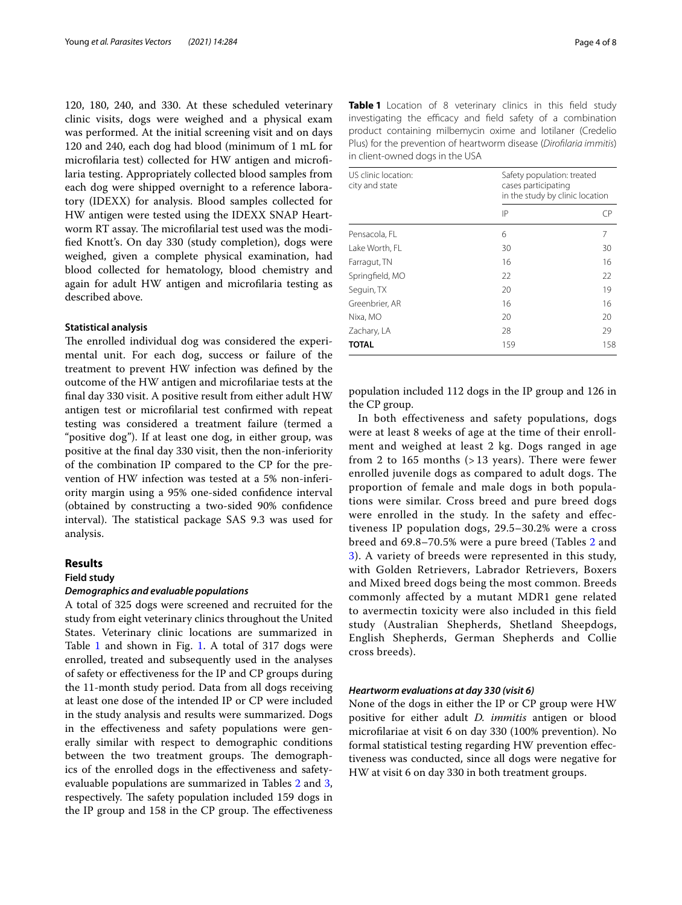120, 180, 240, and 330. At these scheduled veterinary clinic visits, dogs were weighed and a physical exam was performed. At the initial screening visit and on days 120 and 240, each dog had blood (minimum of 1 mL for microflaria test) collected for HW antigen and microflaria testing. Appropriately collected blood samples from each dog were shipped overnight to a reference laboratory (IDEXX) for analysis. Blood samples collected for HW antigen were tested using the IDEXX SNAP Heartworm RT assay. The microfilarial test used was the modifed Knott's. On day 330 (study completion), dogs were weighed, given a complete physical examination, had blood collected for hematology, blood chemistry and again for adult HW antigen and microflaria testing as described above.

#### **Statistical analysis**

The enrolled individual dog was considered the experimental unit. For each dog, success or failure of the treatment to prevent HW infection was defned by the outcome of the HW antigen and microflariae tests at the fnal day 330 visit. A positive result from either adult HW antigen test or microflarial test confrmed with repeat testing was considered a treatment failure (termed a "positive dog"). If at least one dog, in either group, was positive at the fnal day 330 visit, then the non-inferiority of the combination IP compared to the CP for the prevention of HW infection was tested at a 5% non-inferiority margin using a 95% one-sided confdence interval (obtained by constructing a two-sided 90% confdence interval). The statistical package SAS 9.3 was used for analysis.

#### **Results**

#### **Field study**

#### *Demographics and evaluable populations*

A total of 325 dogs were screened and recruited for the study from eight veterinary clinics throughout the United States. Veterinary clinic locations are summarized in Table [1](#page-3-0) and shown in Fig. [1](#page-4-0). A total of 317 dogs were enrolled, treated and subsequently used in the analyses of safety or efectiveness for the IP and CP groups during the 11-month study period. Data from all dogs receiving at least one dose of the intended IP or CP were included in the study analysis and results were summarized. Dogs in the efectiveness and safety populations were generally similar with respect to demographic conditions between the two treatment groups. The demographics of the enrolled dogs in the efectiveness and safetyevaluable populations are summarized in Tables [2](#page-4-1) and [3](#page-4-2), respectively. The safety population included 159 dogs in the IP group and 158 in the CP group. The effectiveness

<span id="page-3-0"></span>

| <b>Table 1</b> Location of 8 veterinary clinics in this field study |
|---------------------------------------------------------------------|
| investigating the efficacy and field safety of a combination        |
| product containing milbemycin oxime and lotilaner (Credelio         |
| Plus) for the prevention of heartworm disease (Dirofilaria immitis) |
| in client-owned dogs in the USA                                     |

| US clinic location:<br>city and state | Safety population: treated<br>cases participating<br>in the study by clinic location |     |
|---------------------------------------|--------------------------------------------------------------------------------------|-----|
|                                       | IP                                                                                   | CР  |
| Pensacola, FL                         | 6                                                                                    | 7   |
| Lake Worth, FL                        | 30                                                                                   | 30  |
| Farragut, TN                          | 16                                                                                   | 16  |
| Springfield, MO                       | 22                                                                                   | 22  |
| Seguin, TX                            | 20                                                                                   | 19  |
| Greenbrier, AR                        | 16                                                                                   | 16  |
| Nixa, MO                              | 20                                                                                   | 20  |
| Zachary, LA                           | 28                                                                                   | 29  |
| <b>TOTAL</b>                          | 159                                                                                  | 158 |

population included 112 dogs in the IP group and 126 in the CP group.

In both effectiveness and safety populations, dogs were at least 8 weeks of age at the time of their enrollment and weighed at least 2 kg. Dogs ranged in age from 2 to 165 months  $($ > 13 years). There were fewer enrolled juvenile dogs as compared to adult dogs. The proportion of female and male dogs in both populations were similar. Cross breed and pure breed dogs were enrolled in the study. In the safety and effectiveness IP population dogs, 29.5–30.2% were a cross breed and 69.8–70.5% were a pure breed (Tables [2](#page-4-1) and [3\)](#page-4-2). A variety of breeds were represented in this study, with Golden Retrievers, Labrador Retrievers, Boxers and Mixed breed dogs being the most common. Breeds commonly affected by a mutant MDR1 gene related to avermectin toxicity were also included in this field study (Australian Shepherds, Shetland Sheepdogs, English Shepherds, German Shepherds and Collie cross breeds).

#### *Heartworm evaluations at day 330 (visit 6)*

None of the dogs in either the IP or CP group were HW positive for either adult *D. immitis* antigen or blood microflariae at visit 6 on day 330 (100% prevention). No formal statistical testing regarding HW prevention efectiveness was conducted, since all dogs were negative for HW at visit 6 on day 330 in both treatment groups.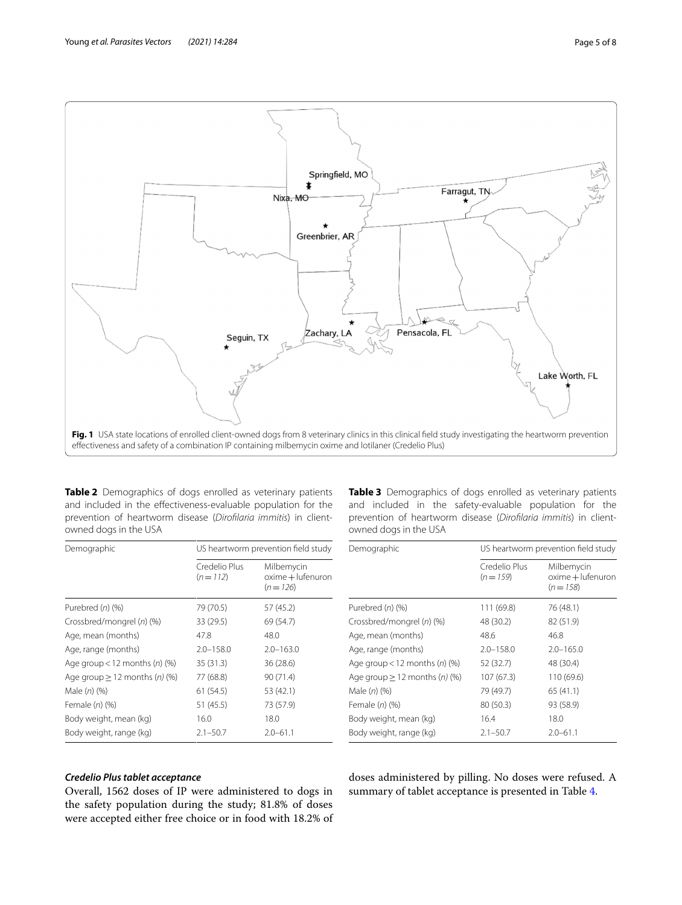

<span id="page-4-1"></span><span id="page-4-0"></span>**Table 2** Demographics of dogs enrolled as veterinary patients and included in the efectiveness-evaluable population for the prevention of heartworm disease (*Diroflaria immitis*) in clientowned dogs in the USA

| Demographic                        | US heartworm prevention field study |                                              |  |
|------------------------------------|-------------------------------------|----------------------------------------------|--|
|                                    | Credelio Plus<br>$(n=112)$          | Milbemycin<br>oxime + lufenuron<br>$(n=126)$ |  |
| Purebred $(n)$ $(\%)$              | 79 (70.5)                           | 57 (45.2)                                    |  |
| Crossbred/mongrel (n) (%)          | 33 (29.5)                           | 69 (54.7)                                    |  |
| Age, mean (months)                 | 47.8                                | 48.0                                         |  |
| Age, range (months)                | $2.0 - 158.0$                       | $2.0 - 163.0$                                |  |
| Age group < 12 months $(n)$ (%)    | 35(31.3)                            | 36 (28.6)                                    |  |
| Age group $\geq$ 12 months (n) (%) | 77 (68.8)                           | 90 (71.4)                                    |  |
| Male $(n)$ $(\%)$                  | 61(54.5)                            | 53 (42.1)                                    |  |
| Female $(n)$ $(\%)$                | 51 (45.5)                           | 73 (57.9)                                    |  |
| Body weight, mean (kg)             | 16.0                                | 18.0                                         |  |
| Body weight, range (kg)            | $2.1 - 50.7$                        | $2.0 - 61.1$                                 |  |

<span id="page-4-2"></span>**Table 3** Demographics of dogs enrolled as veterinary patients and included in the safety-evaluable population for the prevention of heartworm disease (*Diroflaria immitis*) in clientowned dogs in the USA

| Demographic                                 |                            | US heartworm prevention field study          |  |
|---------------------------------------------|----------------------------|----------------------------------------------|--|
|                                             | Credelio Plus<br>$(n=159)$ | Milbemycin<br>oxime + lufenuron<br>$(n=158)$ |  |
| Purebred (n) (%)                            | 111 (69.8)                 | 76 (48.1)                                    |  |
| Crossbred/mongrel (n) (%)                   | 48 (30.2)                  | 82 (51.9)                                    |  |
| Age, mean (months)                          | 48.6                       | 46.8                                         |  |
| Age, range (months)                         | $2.0 - 158.0$              | $2.0 - 165.0$                                |  |
| Age group < 12 months $(n)$ $(\%)$          | 52 (32.7)                  | 48 (30.4)                                    |  |
| Age group $\geq$ 12 months ( <i>n</i> ) (%) | 107(67.3)                  | 110 (69.6)                                   |  |
| Male $(n)$ $(\%)$                           | 79 (49.7)                  | 65 (41.1)                                    |  |
| Female $(n)$ $(\%)$                         | 80 (50.3)                  | 93 (58.9)                                    |  |
| Body weight, mean (kg)                      | 16.4                       | 18.0                                         |  |
| Body weight, range (kg)                     | $2.1 - 50.7$               | $2.0 - 61.1$                                 |  |

# *Credelio Plus tablet acceptance*

Overall, 1562 doses of IP were administered to dogs in the safety population during the study; 81.8% of doses were accepted either free choice or in food with 18.2% of

doses administered by pilling. No doses were refused. A summary of tablet acceptance is presented in Table [4.](#page-5-0)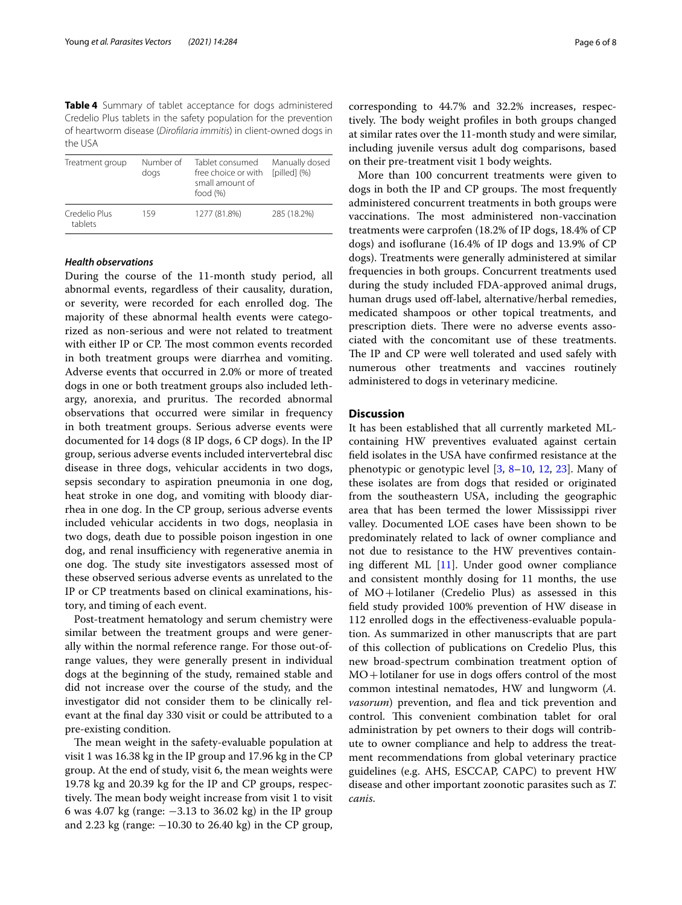<span id="page-5-0"></span>**Table 4** Summary of tablet acceptance for dogs administered Credelio Plus tablets in the safety population for the prevention of heartworm disease (*Diroflaria immitis*) in client-owned dogs in the USA

| Treatment group          | Number of<br>dogs | Tablet consumed<br>free choice or with<br>small amount of<br>food $(\%)$ | Manually dosed<br>[pilled] (%) |
|--------------------------|-------------------|--------------------------------------------------------------------------|--------------------------------|
| Credelio Plus<br>tablets | 159               | 1277 (81.8%)                                                             | 285 (18.2%)                    |

### *Health observations*

During the course of the 11-month study period, all abnormal events, regardless of their causality, duration, or severity, were recorded for each enrolled dog. The majority of these abnormal health events were categorized as non-serious and were not related to treatment with either IP or CP. The most common events recorded in both treatment groups were diarrhea and vomiting. Adverse events that occurred in 2.0% or more of treated dogs in one or both treatment groups also included lethargy, anorexia, and pruritus. The recorded abnormal observations that occurred were similar in frequency in both treatment groups. Serious adverse events were documented for 14 dogs (8 IP dogs, 6 CP dogs). In the IP group, serious adverse events included intervertebral disc disease in three dogs, vehicular accidents in two dogs, sepsis secondary to aspiration pneumonia in one dog, heat stroke in one dog, and vomiting with bloody diarrhea in one dog. In the CP group, serious adverse events included vehicular accidents in two dogs, neoplasia in two dogs, death due to possible poison ingestion in one dog, and renal insufficiency with regenerative anemia in one dog. The study site investigators assessed most of these observed serious adverse events as unrelated to the IP or CP treatments based on clinical examinations, history, and timing of each event.

Post-treatment hematology and serum chemistry were similar between the treatment groups and were generally within the normal reference range. For those out-ofrange values, they were generally present in individual dogs at the beginning of the study, remained stable and did not increase over the course of the study, and the investigator did not consider them to be clinically relevant at the fnal day 330 visit or could be attributed to a pre-existing condition.

The mean weight in the safety-evaluable population at visit 1 was 16.38 kg in the IP group and 17.96 kg in the CP group. At the end of study, visit 6, the mean weights were 19.78 kg and 20.39 kg for the IP and CP groups, respectively. The mean body weight increase from visit 1 to visit 6 was 4.07 kg (range: −3.13 to 36.02 kg) in the IP group and 2.23 kg (range:  $-10.30$  to 26.40 kg) in the CP group, corresponding to 44.7% and 32.2% increases, respectively. The body weight profiles in both groups changed at similar rates over the 11-month study and were similar, including juvenile versus adult dog comparisons, based on their pre-treatment visit 1 body weights.

More than 100 concurrent treatments were given to dogs in both the IP and CP groups. The most frequently administered concurrent treatments in both groups were vaccinations. The most administered non-vaccination treatments were carprofen (18.2% of IP dogs, 18.4% of CP dogs) and isofurane (16.4% of IP dogs and 13.9% of CP dogs). Treatments were generally administered at similar frequencies in both groups. Concurrent treatments used during the study included FDA-approved animal drugs, human drugs used off-label, alternative/herbal remedies, medicated shampoos or other topical treatments, and prescription diets. There were no adverse events associated with the concomitant use of these treatments. The IP and CP were well tolerated and used safely with numerous other treatments and vaccines routinely administered to dogs in veterinary medicine.

# **Discussion**

It has been established that all currently marketed MLcontaining HW preventives evaluated against certain feld isolates in the USA have confrmed resistance at the phenotypic or genotypic level [[3,](#page-6-2) [8](#page-7-2)[–10,](#page-7-3) [12](#page-7-5), [23](#page-7-15)]. Many of these isolates are from dogs that resided or originated from the southeastern USA, including the geographic area that has been termed the lower Mississippi river valley. Documented LOE cases have been shown to be predominately related to lack of owner compliance and not due to resistance to the HW preventives containing diferent ML [[11\]](#page-7-4). Under good owner compliance and consistent monthly dosing for 11 months, the use of MO+lotilaner (Credelio Plus) as assessed in this feld study provided 100% prevention of HW disease in 112 enrolled dogs in the efectiveness-evaluable population. As summarized in other manuscripts that are part of this collection of publications on Credelio Plus, this new broad-spectrum combination treatment option of  $MO +$ lotilaner for use in dogs offers control of the most common intestinal nematodes, HW and lungworm (*A. vasorum*) prevention, and flea and tick prevention and control. This convenient combination tablet for oral administration by pet owners to their dogs will contribute to owner compliance and help to address the treatment recommendations from global veterinary practice guidelines (e.g. AHS, ESCCAP, CAPC) to prevent HW disease and other important zoonotic parasites such as *T. canis*.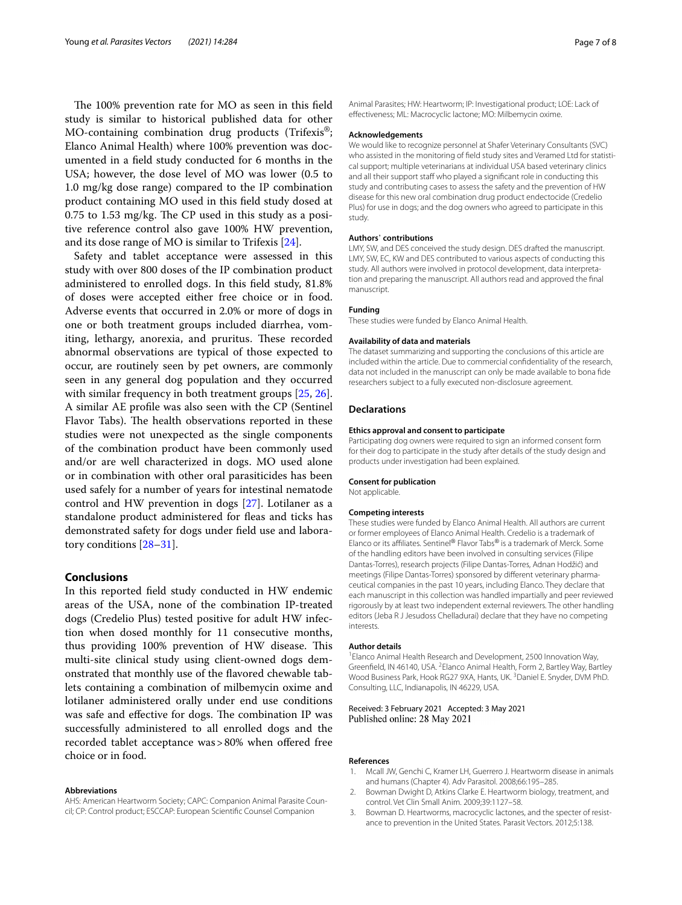The 100% prevention rate for MO as seen in this field study is similar to historical published data for other MO-containing combination drug products (Trifexis<sup>®</sup>; Elanco Animal Health) where 100% prevention was documented in a feld study conducted for 6 months in the USA; however, the dose level of MO was lower (0.5 to 1.0 mg/kg dose range) compared to the IP combination product containing MO used in this feld study dosed at  $0.75$  to 1.53 mg/kg. The CP used in this study as a positive reference control also gave 100% HW prevention, and its dose range of MO is similar to Trifexis [\[24](#page-7-16)].

Safety and tablet acceptance were assessed in this study with over 800 doses of the IP combination product administered to enrolled dogs. In this feld study, 81.8% of doses were accepted either free choice or in food. Adverse events that occurred in 2.0% or more of dogs in one or both treatment groups included diarrhea, vomiting, lethargy, anorexia, and pruritus. These recorded abnormal observations are typical of those expected to occur, are routinely seen by pet owners, are commonly seen in any general dog population and they occurred with similar frequency in both treatment groups [[25](#page-7-17), [26](#page-7-18)]. A similar AE profle was also seen with the CP (Sentinel Flavor Tabs). The health observations reported in these studies were not unexpected as the single components of the combination product have been commonly used and/or are well characterized in dogs. MO used alone or in combination with other oral parasiticides has been used safely for a number of years for intestinal nematode control and HW prevention in dogs [[27\]](#page-7-19). Lotilaner as a standalone product administered for feas and ticks has demonstrated safety for dogs under feld use and laboratory conditions [[28](#page-7-20)[–31](#page-7-21)].

# **Conclusions**

In this reported feld study conducted in HW endemic areas of the USA, none of the combination IP-treated dogs (Credelio Plus) tested positive for adult HW infection when dosed monthly for 11 consecutive months, thus providing 100% prevention of HW disease. This multi-site clinical study using client-owned dogs demonstrated that monthly use of the favored chewable tablets containing a combination of milbemycin oxime and lotilaner administered orally under end use conditions was safe and effective for dogs. The combination IP was successfully administered to all enrolled dogs and the recorded tablet acceptance was > 80% when offered free choice or in food.

#### **Abbreviations**

AHS: American Heartworm Society; CAPC: Companion Animal Parasite Council; CP: Control product; ESCCAP: European Scientifc Counsel Companion

Animal Parasites; HW: Heartworm; IP: Investigational product; LOE: Lack of efectiveness; ML: Macrocyclic lactone; MO: Milbemycin oxime.

#### **Acknowledgements**

We would like to recognize personnel at Shafer Veterinary Consultants (SVC) who assisted in the monitoring of feld study sites and Veramed Ltd for statistical support; multiple veterinarians at individual USA based veterinary clinics and all their support staff who played a significant role in conducting this study and contributing cases to assess the safety and the prevention of HW disease for this new oral combination drug product endectocide (Credelio Plus) for use in dogs; and the dog owners who agreed to participate in this study.

#### **Authors**' **contributions**

LMY, SW, and DES conceived the study design. DES drafted the manuscript. LMY, SW, EC, KW and DES contributed to various aspects of conducting this study. All authors were involved in protocol development, data interpretation and preparing the manuscript. All authors read and approved the fnal manuscript.

#### **Funding**

These studies were funded by Elanco Animal Health.

#### **Availability of data and materials**

The dataset summarizing and supporting the conclusions of this article are included within the article. Due to commercial confdentiality of the research, data not included in the manuscript can only be made available to bona fde researchers subject to a fully executed non-disclosure agreement.

#### **Declarations**

#### **Ethics approval and consent to participate**

Participating dog owners were required to sign an informed consent form for their dog to participate in the study after details of the study design and products under investigation had been explained.

#### **Consent for publication**

Not applicable.

#### **Competing interests**

These studies were funded by Elanco Animal Health. All authors are current or former employees of Elanco Animal Health. Credelio is a trademark of Elanco or its affiliates. Sentinel® Flavor Tabs® is a trademark of Merck. Some of the handling editors have been involved in consulting services (Filipe Dantas-Torres), research projects (Filipe Dantas-Torres, Adnan Hodžić) and meetings (Filipe Dantas-Torres) sponsored by diferent veterinary pharmaceutical companies in the past 10 years, including Elanco. They declare that each manuscript in this collection was handled impartially and peer reviewed rigorously by at least two independent external reviewers. The other handling editors (Jeba R J Jesudoss Chelladurai) declare that they have no competing interests.

#### **Author details**

<sup>1</sup> Elanco Animal Health Research and Development, 2500 Innovation Way, Greenfield, IN 46140, USA. <sup>2</sup> Elanco Animal Health, Form 2, Bartley Way, Bartley Wood Business Park, Hook RG27 9XA, Hants, UK. <sup>3</sup> Daniel E. Snyder, DVM PhD. Consulting, LLC, Indianapolis, IN 46229, USA.

Received: 3 February 2021 Accepted: 3 May 2021 Published online: 28 May 2021

#### **References**

- <span id="page-6-0"></span>Mcall JW, Genchi C, Kramer LH, Guerrero J. Heartworm disease in animals and humans (Chapter 4). Adv Parasitol. 2008;66:195–285.
- <span id="page-6-1"></span>2. Bowman Dwight D, Atkins Clarke E. Heartworm biology, treatment, and control. Vet Clin Small Anim. 2009;39:1127–58.
- <span id="page-6-2"></span>3. Bowman D. Heartworms, macrocyclic lactones, and the specter of resistance to prevention in the United States. Parasit Vectors. 2012;5:138.